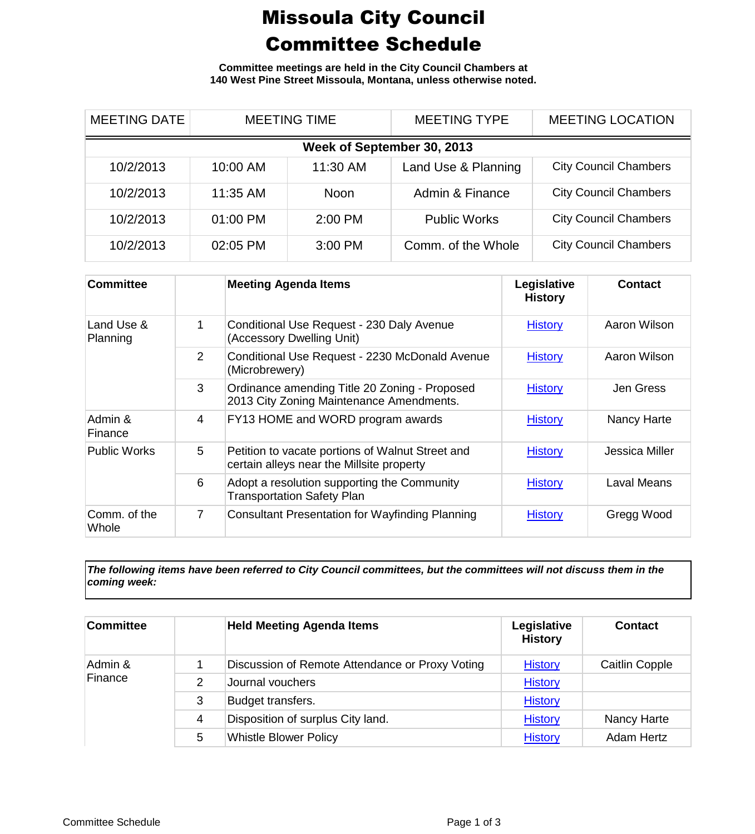## Missoula City Council Committee Schedule

**Committee meetings are held in the City Council Chambers at 140 West Pine Street Missoula, Montana, unless otherwise noted.**

| <b>MEETING DATE</b>        | <b>MEETING TIME</b> |             | <b>MEETING TYPE</b> | <b>MEETING LOCATION</b>      |  |
|----------------------------|---------------------|-------------|---------------------|------------------------------|--|
| Week of September 30, 2013 |                     |             |                     |                              |  |
| 10/2/2013                  | 10:00 AM            | 11:30 AM    | Land Use & Planning | <b>City Council Chambers</b> |  |
| 10/2/2013                  | 11:35 AM            | <b>Noon</b> | Admin & Finance     | <b>City Council Chambers</b> |  |
| 10/2/2013                  | 01:00 PM            | $2:00$ PM   | <b>Public Works</b> | <b>City Council Chambers</b> |  |
| 10/2/2013                  | 02:05 PM            | 3:00 PM     | Comm. of the Whole  | <b>City Council Chambers</b> |  |

| <b>Committee</b>       |   | <b>Meeting Agenda Items</b>                                                                   | Legislative<br><b>History</b> | <b>Contact</b>     |
|------------------------|---|-----------------------------------------------------------------------------------------------|-------------------------------|--------------------|
| Land Use &<br>Planning | 1 | Conditional Use Request - 230 Daly Avenue<br>(Accessory Dwelling Unit)                        | <b>History</b>                | Aaron Wilson       |
|                        | 2 | Conditional Use Request - 2230 McDonald Avenue<br>(Microbrewery)                              | <b>History</b>                | Aaron Wilson       |
|                        | 3 | Ordinance amending Title 20 Zoning - Proposed<br>2013 City Zoning Maintenance Amendments.     | <b>History</b>                | Jen Gress          |
| Admin &<br>Finance     | 4 | FY13 HOME and WORD program awards                                                             | <b>History</b>                | Nancy Harte        |
| <b>Public Works</b>    | 5 | Petition to vacate portions of Walnut Street and<br>certain alleys near the Millsite property | <b>History</b>                | Jessica Miller     |
|                        | 6 | Adopt a resolution supporting the Community<br><b>Transportation Safety Plan</b>              | <b>History</b>                | <b>Laval Means</b> |
| Comm. of the<br>Whole  | 7 | <b>Consultant Presentation for Wayfinding Planning</b>                                        | <b>History</b>                | Gregg Wood         |

*The following items have been referred to City Council committees, but the committees will not discuss them in the coming week:*

| <b>Committee</b>   |   | <b>Held Meeting Agenda Items</b>                | Legislative<br><b>History</b> | <b>Contact</b>        |
|--------------------|---|-------------------------------------------------|-------------------------------|-----------------------|
| Admin &<br>Finance |   | Discussion of Remote Attendance or Proxy Voting | <b>History</b>                | <b>Caitlin Copple</b> |
|                    | 2 | Journal vouchers                                | <b>History</b>                |                       |
|                    | 3 | Budget transfers.                               | <b>History</b>                |                       |
|                    | 4 | Disposition of surplus City land.               | <b>History</b>                | <b>Nancy Harte</b>    |
|                    | 5 | <b>Whistle Blower Policy</b>                    | <b>History</b>                | <b>Adam Hertz</b>     |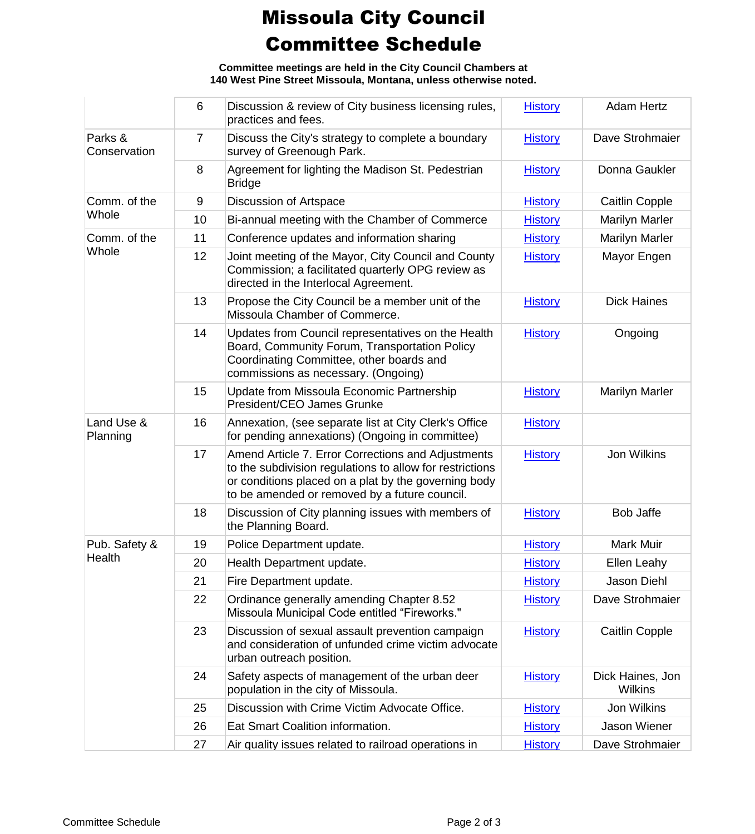## Missoula City Council Committee Schedule

**Committee meetings are held in the City Council Chambers at 140 West Pine Street Missoula, Montana, unless otherwise noted.**

|                         | 6              | Discussion & review of City business licensing rules,<br>practices and fees.                                                                                                                                            | <b>History</b> | <b>Adam Hertz</b>                  |
|-------------------------|----------------|-------------------------------------------------------------------------------------------------------------------------------------------------------------------------------------------------------------------------|----------------|------------------------------------|
| Parks &<br>Conservation | $\overline{7}$ | Discuss the City's strategy to complete a boundary<br>survey of Greenough Park.                                                                                                                                         | <b>History</b> | Dave Strohmaier                    |
|                         | 8              | Agreement for lighting the Madison St. Pedestrian<br><b>Bridge</b>                                                                                                                                                      | <b>History</b> | Donna Gaukler                      |
| Comm. of the<br>Whole   | 9              | Discussion of Artspace                                                                                                                                                                                                  | <b>History</b> | Caitlin Copple                     |
|                         | 10             | Bi-annual meeting with the Chamber of Commerce                                                                                                                                                                          | <b>History</b> | <b>Marilyn Marler</b>              |
| Comm. of the            | 11             | Conference updates and information sharing                                                                                                                                                                              | <b>History</b> | <b>Marilyn Marler</b>              |
| Whole                   | 12             | Joint meeting of the Mayor, City Council and County<br>Commission; a facilitated quarterly OPG review as<br>directed in the Interlocal Agreement.                                                                       | <b>History</b> | Mayor Engen                        |
|                         | 13             | Propose the City Council be a member unit of the<br>Missoula Chamber of Commerce.                                                                                                                                       | <b>History</b> | <b>Dick Haines</b>                 |
|                         | 14             | Updates from Council representatives on the Health<br>Board, Community Forum, Transportation Policy<br>Coordinating Committee, other boards and<br>commissions as necessary. (Ongoing)                                  | <b>History</b> | Ongoing                            |
|                         | 15             | Update from Missoula Economic Partnership<br>President/CEO James Grunke                                                                                                                                                 | <b>History</b> | <b>Marilyn Marler</b>              |
| Land Use &<br>Planning  | 16             | Annexation, (see separate list at City Clerk's Office<br>for pending annexations) (Ongoing in committee)                                                                                                                | <b>History</b> |                                    |
|                         | 17             | Amend Article 7. Error Corrections and Adjustments<br>to the subdivision regulations to allow for restrictions<br>or conditions placed on a plat by the governing body<br>to be amended or removed by a future council. | <b>History</b> | Jon Wilkins                        |
|                         | 18             | Discussion of City planning issues with members of<br>the Planning Board.                                                                                                                                               | <b>History</b> | <b>Bob Jaffe</b>                   |
| Pub. Safety &           | 19             | Police Department update.                                                                                                                                                                                               | <b>History</b> | <b>Mark Muir</b>                   |
| Health                  | 20             | Health Department update.                                                                                                                                                                                               | <b>History</b> | Ellen Leahy                        |
|                         | 21             | Fire Department update.                                                                                                                                                                                                 | <b>History</b> | Jason Diehl                        |
|                         | 22             | Ordinance generally amending Chapter 8.52<br>Missoula Municipal Code entitled "Fireworks."                                                                                                                              | <b>History</b> | Dave Strohmaier                    |
|                         | 23             | Discussion of sexual assault prevention campaign<br>and consideration of unfunded crime victim advocate<br>urban outreach position.                                                                                     | <b>History</b> | Caitlin Copple                     |
|                         | 24             | Safety aspects of management of the urban deer<br>population in the city of Missoula.                                                                                                                                   | <b>History</b> | Dick Haines, Jon<br><b>Wilkins</b> |
|                         | 25             | Discussion with Crime Victim Advocate Office.                                                                                                                                                                           | <b>History</b> | Jon Wilkins                        |
|                         | 26             | Eat Smart Coalition information.                                                                                                                                                                                        | <b>History</b> | Jason Wiener                       |
|                         | 27             | Air quality issues related to railroad operations in                                                                                                                                                                    | <b>History</b> | Dave Strohmaier                    |